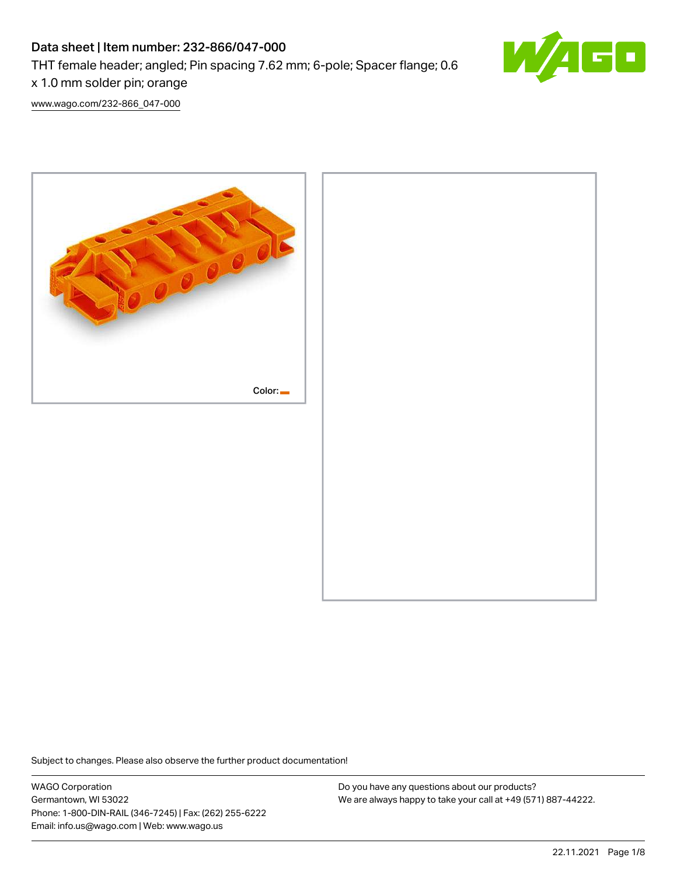# Data sheet | Item number: 232-866/047-000

THT female header; angled; Pin spacing 7.62 mm; 6-pole; Spacer flange; 0.6

x 1.0 mm solder pin; orange

[www.wago.com/232-866\\_047-000](http://www.wago.com/232-866_047-000)



Subject to changes. Please also observe the further product documentation!

WAGO Corporation Germantown, WI 53022 Phone: 1-800-DIN-RAIL (346-7245) | Fax: (262) 255-6222 Email: info.us@wago.com | Web: www.wago.us

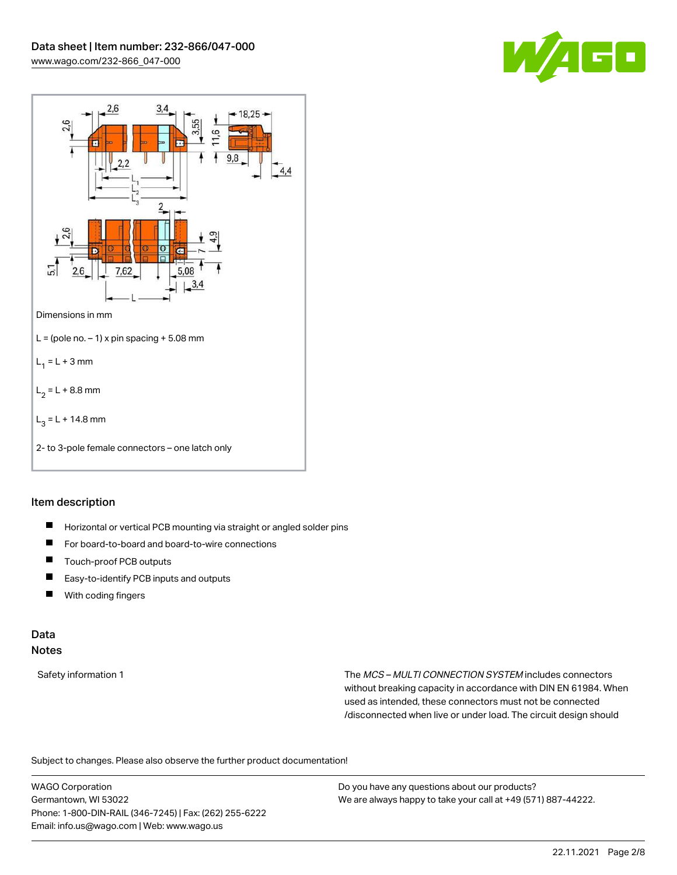



# Item description

- $\blacksquare$ Horizontal or vertical PCB mounting via straight or angled solder pins
- $\blacksquare$ For board-to-board and board-to-wire connections
- П Touch-proof PCB outputs
- $\blacksquare$ Easy-to-identify PCB inputs and outputs
- $\blacksquare$ With coding fingers

# Data

# Notes

Safety information 1 The MCS – MULTI CONNECTION SYSTEM includes connectors without breaking capacity in accordance with DIN EN 61984. When used as intended, these connectors must not be connected /disconnected when live or under load. The circuit design should

Subject to changes. Please also observe the further product documentation!  $\mathbf{e}$ 

WAGO Corporation Germantown, WI 53022 Phone: 1-800-DIN-RAIL (346-7245) | Fax: (262) 255-6222 Email: info.us@wago.com | Web: www.wago.us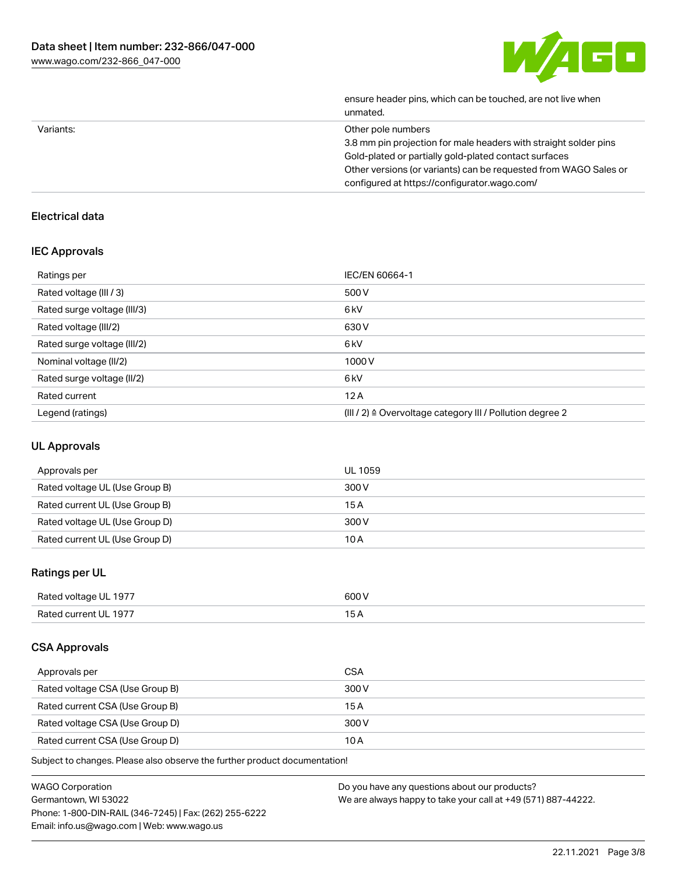

|           | ensure header pins, which can be touched, are not live when<br>unmated. |
|-----------|-------------------------------------------------------------------------|
| Variants: | Other pole numbers                                                      |
|           | 3.8 mm pin projection for male headers with straight solder pins        |
|           | Gold-plated or partially gold-plated contact surfaces                   |
|           | Other versions (or variants) can be requested from WAGO Sales or        |
|           | configured at https://configurator.wago.com/                            |
|           |                                                                         |

# Electrical data

## IEC Approvals

| Ratings per                 | IEC/EN 60664-1                                                        |
|-----------------------------|-----------------------------------------------------------------------|
| Rated voltage (III / 3)     | 500 V                                                                 |
| Rated surge voltage (III/3) | 6 <sub>k</sub> V                                                      |
| Rated voltage (III/2)       | 630 V                                                                 |
| Rated surge voltage (III/2) | 6 kV                                                                  |
| Nominal voltage (II/2)      | 1000 V                                                                |
| Rated surge voltage (II/2)  | 6 <sub>k</sub> V                                                      |
| Rated current               | 12A                                                                   |
| Legend (ratings)            | $(III / 2)$ $\triangle$ Overvoltage category III / Pollution degree 2 |

## UL Approvals

| Approvals per                  | UL 1059 |
|--------------------------------|---------|
| Rated voltage UL (Use Group B) | 300 V   |
| Rated current UL (Use Group B) | 15A     |
| Rated voltage UL (Use Group D) | 300 V   |
| Rated current UL (Use Group D) | 10 A    |

# Ratings per UL

| Rated voltage UL 1977 | 600 V |
|-----------------------|-------|
| Rated current UL 1977 | 3 P   |

## CSA Approvals

| Approvals per                   | CSA   |
|---------------------------------|-------|
| Rated voltage CSA (Use Group B) | 300 V |
| Rated current CSA (Use Group B) | 15 A  |
| Rated voltage CSA (Use Group D) | 300 V |
| Rated current CSA (Use Group D) | 10 A  |

Subject to changes. Please also observe the further product documentation!

| WAGO Corporation                                       | Do you have any questions about our products?                 |
|--------------------------------------------------------|---------------------------------------------------------------|
| Germantown, WI 53022                                   | We are always happy to take your call at +49 (571) 887-44222. |
| Phone: 1-800-DIN-RAIL (346-7245)   Fax: (262) 255-6222 |                                                               |
| Email: info.us@wago.com   Web: www.wago.us             |                                                               |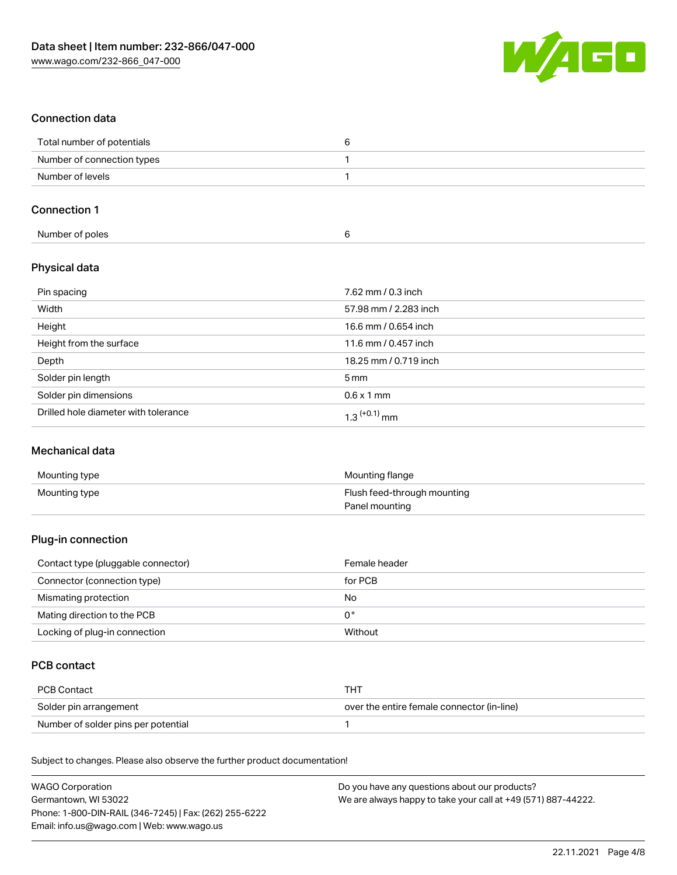

# Connection data

| Total number of potentials |  |
|----------------------------|--|
| Number of connection types |  |
| Number of levels           |  |

### Connection 1

| Number of poles |  |
|-----------------|--|
|                 |  |

# Physical data

| Pin spacing                          | 7.62 mm / 0.3 inch    |
|--------------------------------------|-----------------------|
| Width                                | 57.98 mm / 2.283 inch |
| Height                               | 16.6 mm / 0.654 inch  |
| Height from the surface              | 11.6 mm / 0.457 inch  |
| Depth                                | 18.25 mm / 0.719 inch |
| Solder pin length                    | $5 \,\mathrm{mm}$     |
| Solder pin dimensions                | $0.6 \times 1$ mm     |
| Drilled hole diameter with tolerance | $1.3$ $(+0.1)$ mm     |

### Mechanical data

| Mounting type | Mounting flange             |
|---------------|-----------------------------|
| Mounting type | Flush feed-through mounting |
|               | Panel mounting              |

# Plug-in connection

| Contact type (pluggable connector) | Female header |
|------------------------------------|---------------|
| Connector (connection type)        | for PCB       |
| Mismating protection               | No            |
| Mating direction to the PCB        | 0°            |
| Locking of plug-in connection      | Without       |

# PCB contact

| PCB Contact                         | тнт                                        |
|-------------------------------------|--------------------------------------------|
| Solder pin arrangement              | over the entire female connector (in-line) |
| Number of solder pins per potential |                                            |

Subject to changes. Please also observe the further product documentation!

| <b>WAGO Corporation</b>                                | Do you have any questions about our products?                 |
|--------------------------------------------------------|---------------------------------------------------------------|
| Germantown, WI 53022                                   | We are always happy to take your call at +49 (571) 887-44222. |
| Phone: 1-800-DIN-RAIL (346-7245)   Fax: (262) 255-6222 |                                                               |
| Email: info.us@wago.com   Web: www.wago.us             |                                                               |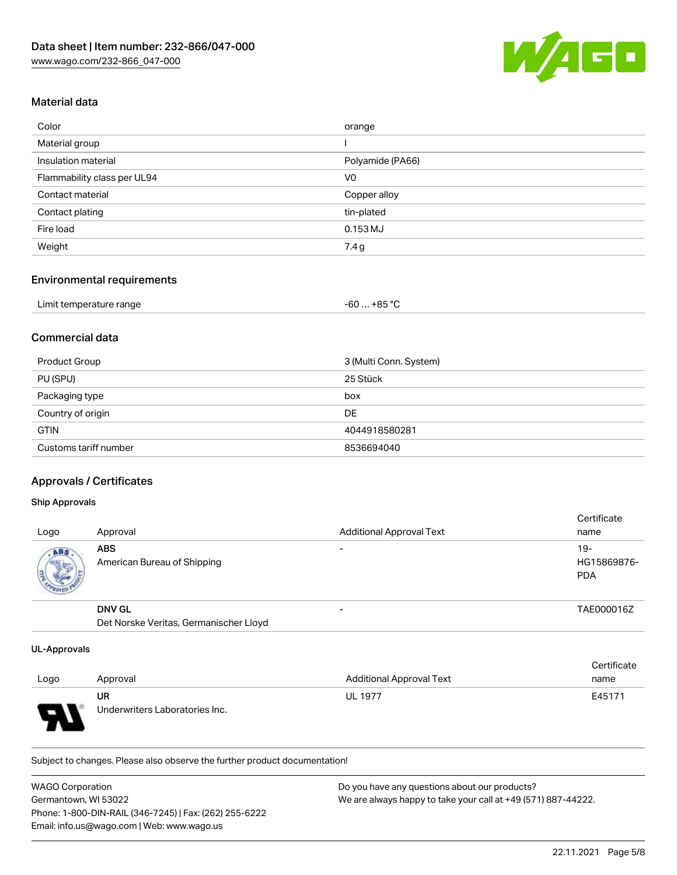

#### Material data

| Color                       | orange           |
|-----------------------------|------------------|
| Material group              |                  |
| Insulation material         | Polyamide (PA66) |
| Flammability class per UL94 | V <sub>0</sub>   |
| Contact material            | Copper alloy     |
| Contact plating             | tin-plated       |
| Fire load                   | 0.153 MJ         |
| Weight                      | 7.4g             |

## Environmental requirements

# Commercial data

| Product Group         | 3 (Multi Conn. System) |
|-----------------------|------------------------|
| PU (SPU)              | 25 Stück               |
| Packaging type        | box                    |
| Country of origin     | DE                     |
| <b>GTIN</b>           | 4044918580281          |
| Customs tariff number | 8536694040             |

# Approvals / Certificates

#### Ship Approvals

| Logo               | Approval                                  | <b>Additional Approval Text</b> | Certificate<br>name                |
|--------------------|-------------------------------------------|---------------------------------|------------------------------------|
| ABS<br><b>SALE</b> | <b>ABS</b><br>American Bureau of Shipping | $\overline{\phantom{0}}$        | $19-$<br>HG15869876-<br><b>PDA</b> |
|                    | <b>DNV GL</b>                             | $\overline{\phantom{0}}$        | TAE000016Z                         |
|                    | Det Norske Veritas, Germanischer Lloyd    |                                 |                                    |

#### UL-Approvals

|      |                                |                                 | Certificate |
|------|--------------------------------|---------------------------------|-------------|
| Logo | Approval                       | <b>Additional Approval Text</b> | name        |
|      | UR                             | <b>UL 1977</b>                  | E45171      |
| Б    | Underwriters Laboratories Inc. |                                 |             |

Subject to changes. Please also observe the further product documentation!

| WAGO Corporation                                       | Do you have any questions about our products?                 |
|--------------------------------------------------------|---------------------------------------------------------------|
| Germantown, WI 53022                                   | We are always happy to take your call at +49 (571) 887-44222. |
| Phone: 1-800-DIN-RAIL (346-7245)   Fax: (262) 255-6222 |                                                               |
| Email: info.us@wago.com   Web: www.wago.us             |                                                               |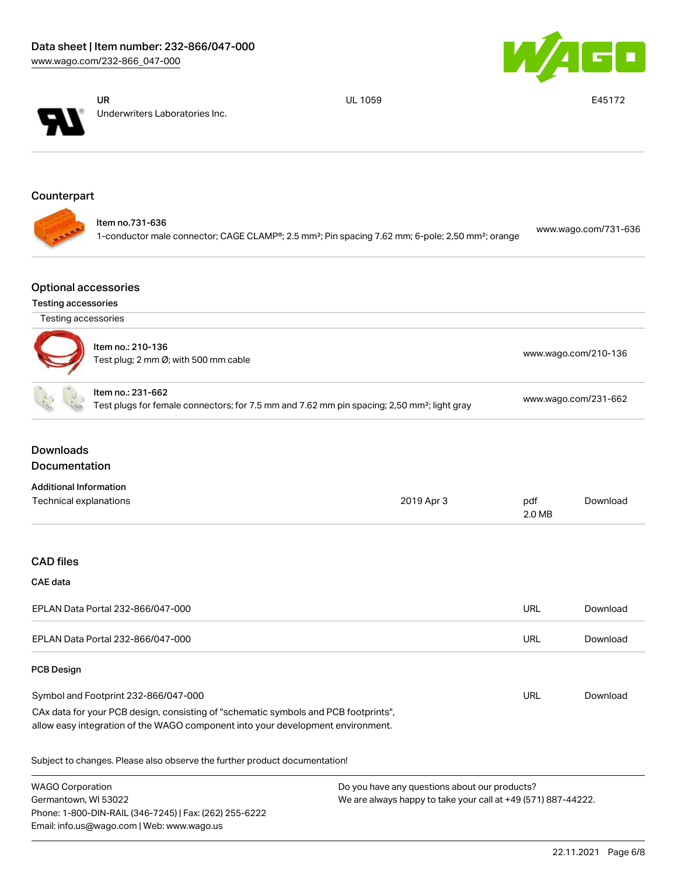



UR Underwriters Laboratories Inc.

Phone: 1-800-DIN-RAIL (346-7245) | Fax: (262) 255-6222

Email: info.us@wago.com | Web: www.wago.us

UL 1059 E45172

# Counterpart

|                   | ltem no.731-636                                                                                                           | www.wago.com/731-636 |
|-------------------|---------------------------------------------------------------------------------------------------------------------------|----------------------|
| <b>CONTRACTOR</b> | 1-conductor male connector; CAGE CLAMP®; 2.5 mm <sup>2</sup> ; Pin spacing 7.62 mm; 6-pole; 2,50 mm <sup>2</sup> ; orange |                      |

## Optional accessories

#### Testing accessories

| Testing accessories                                       |                                                                                                                                                                        |                                                                                                                |               |                      |  |
|-----------------------------------------------------------|------------------------------------------------------------------------------------------------------------------------------------------------------------------------|----------------------------------------------------------------------------------------------------------------|---------------|----------------------|--|
| Item no.: 210-136<br>Test plug; 2 mm Ø; with 500 mm cable |                                                                                                                                                                        | www.wago.com/210-136                                                                                           |               |                      |  |
|                                                           | Item no.: 231-662                                                                                                                                                      | Test plugs for female connectors; for 7.5 mm and 7.62 mm pin spacing; 2,50 mm <sup>2</sup> ; light gray        |               | www.wago.com/231-662 |  |
| <b>Downloads</b><br>Documentation                         |                                                                                                                                                                        |                                                                                                                |               |                      |  |
| <b>Additional Information</b><br>Technical explanations   |                                                                                                                                                                        | 2019 Apr 3                                                                                                     | pdf<br>2.0 MB | Download             |  |
| <b>CAD files</b>                                          |                                                                                                                                                                        |                                                                                                                |               |                      |  |
| <b>CAE</b> data                                           |                                                                                                                                                                        |                                                                                                                |               |                      |  |
|                                                           | EPLAN Data Portal 232-866/047-000                                                                                                                                      |                                                                                                                | <b>URL</b>    | Download             |  |
|                                                           | EPLAN Data Portal 232-866/047-000                                                                                                                                      |                                                                                                                | <b>URL</b>    | Download             |  |
| <b>PCB Design</b>                                         |                                                                                                                                                                        |                                                                                                                |               |                      |  |
|                                                           | Symbol and Footprint 232-866/047-000                                                                                                                                   |                                                                                                                | URL           | Download             |  |
|                                                           | CAx data for your PCB design, consisting of "schematic symbols and PCB footprints",<br>allow easy integration of the WAGO component into your development environment. |                                                                                                                |               |                      |  |
|                                                           | Subject to changes. Please also observe the further product documentation!                                                                                             |                                                                                                                |               |                      |  |
| <b>WAGO Corporation</b><br>Germantown, WI 53022           |                                                                                                                                                                        | Do you have any questions about our products?<br>We are always happy to take your call at +49 (571) 887-44222. |               |                      |  |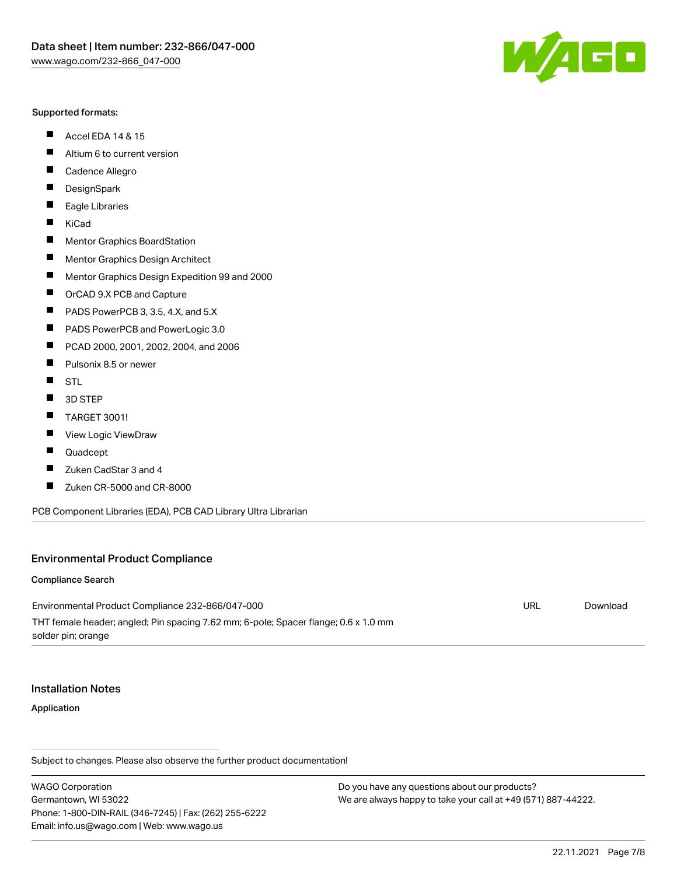#### Supported formats:

- $\blacksquare$ Accel EDA 14 & 15
- $\blacksquare$ Altium 6 to current version
- $\blacksquare$ Cadence Allegro
- $\blacksquare$ **DesignSpark**
- $\blacksquare$ Eagle Libraries
- $\blacksquare$ KiCad
- $\blacksquare$ Mentor Graphics BoardStation
- $\blacksquare$ Mentor Graphics Design Architect
- $\blacksquare$ Mentor Graphics Design Expedition 99 and 2000
- $\blacksquare$ OrCAD 9.X PCB and Capture
- $\blacksquare$ PADS PowerPCB 3, 3.5, 4.X, and 5.X
- $\blacksquare$ PADS PowerPCB and PowerLogic 3.0
- $\blacksquare$ PCAD 2000, 2001, 2002, 2004, and 2006
- $\blacksquare$ Pulsonix 8.5 or newer
- $\blacksquare$ STL
- 3D STEP П
- $\blacksquare$ TARGET 3001!
- $\blacksquare$ View Logic ViewDraw
- П Quadcept
- $\blacksquare$ Zuken CadStar 3 and 4
- Zuken CR-5000 and CR-8000 П

PCB Component Libraries (EDA), PCB CAD Library Ultra Librarian

### Environmental Product Compliance

#### Compliance Search

Environmental Product Compliance 232-866/047-000 THT female header; angled; Pin spacing 7.62 mm; 6-pole; Spacer flange; 0.6 x 1.0 mm solder pin; orange URL [Download](https://www.wago.com/global/d/ComplianceLinkMediaContainer_232-866_047-000)

#### Installation Notes

Application

Subject to changes. Please also observe the further product documentation!

WAGO Corporation Germantown, WI 53022 Phone: 1-800-DIN-RAIL (346-7245) | Fax: (262) 255-6222 Email: info.us@wago.com | Web: www.wago.us